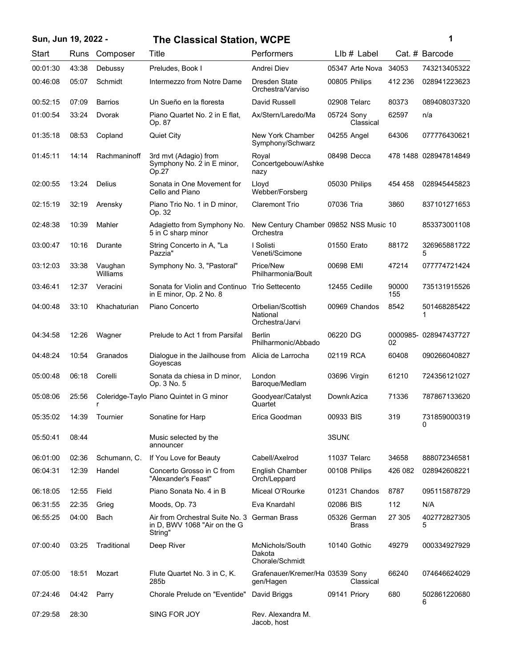## **Sun, Jun 19, 2022 - 1 The Classical Station, WCPE**

| ï<br>۰. |  |
|---------|--|
|         |  |
|         |  |

| <b>Start</b> | <b>Runs</b> | Composer            | Title                                                                                   | Performers                                          |                   | $L$ lb $#$ Label             |              | Cat. # Barcode        |
|--------------|-------------|---------------------|-----------------------------------------------------------------------------------------|-----------------------------------------------------|-------------------|------------------------------|--------------|-----------------------|
| 00:01:30     | 43:38       | Debussy             | Preludes, Book I                                                                        | Andrei Diev                                         |                   | 05347 Arte Nova              | 34053        | 743213405322          |
| 00:46:08     | 05:07       | Schmidt             | Intermezzo from Notre Dame                                                              | Dresden State<br>Orchestra/Varviso                  |                   | 00805 Philips                | 412 236      | 028941223623          |
| 00:52:15     | 07:09       | <b>Barrios</b>      | Un Sueño en la floresta                                                                 | David Russell                                       |                   | 02908 Telarc                 | 80373        | 089408037320          |
| 01:00:54     | 33:24       | Dvorak              | Piano Quartet No. 2 in E flat,<br>Op. 87                                                | Ax/Stern/Laredo/Ma                                  | 05724 Sony        | Classical                    | 62597        | n/a                   |
| 01:35:18     | 08:53       | Copland             | <b>Quiet City</b>                                                                       | New York Chamber<br>Symphony/Schwarz                | 04255 Angel       |                              | 64306        | 077776430621          |
| 01:45:11     | 14:14       | Rachmaninoff        | 3rd mvt (Adagio) from<br>Symphony No. 2 in E minor,<br>Op.27                            | Roval<br>Concertgebouw/Ashke<br>nazy                |                   | 08498 Decca                  |              | 478 1488 028947814849 |
| 02:00:55     | 13:24       | Delius              | Sonata in One Movement for<br>Cello and Piano                                           | Lloyd<br>Webber/Forsberg                            |                   | 05030 Philips                | 454 458      | 028945445823          |
| 02:15:19     | 32:19       | Arensky             | Piano Trio No. 1 in D minor,<br>Op. 32                                                  | <b>Claremont Trio</b>                               | 07036 Tria        |                              | 3860         | 837101271653          |
| 02:48:38     | 10:39       | Mahler              | Adagietto from Symphony No.<br>5 in C sharp minor                                       | New Century Chamber 09852 NSS Music 10<br>Orchestra |                   |                              |              | 853373001108          |
| 03:00:47     | 10:16       | Durante             | String Concerto in A, "La<br>Pazzia"                                                    | I Solisti<br>Veneti/Scimone                         | 01550 Erato       |                              | 88172        | 326965881722<br>5     |
| 03:12:03     | 33:38       | Vaughan<br>Williams | Symphony No. 3, "Pastoral"                                                              | Price/New<br>Philharmonia/Boult                     | 00698 EMI         |                              | 47214        | 077774721424          |
| 03:46:41     | 12:37       | Veracini            | Sonata for Violin and Continuo<br>in E minor, Op. 2 No. 8                               | <b>Trio Settecento</b>                              |                   | 12455 Cedille                | 90000<br>155 | 735131915526          |
| 04:00:48     | 33:10       | Khachaturian        | Piano Concerto                                                                          | Orbelian/Scottish<br>National<br>Orchestra/Jarvi    |                   | 00969 Chandos                | 8542         | 501468285422          |
| 04:34:58     | 12:26       | Wagner              | Prelude to Act 1 from Parsifal                                                          | Berlin<br>Philharmonic/Abbado                       | 06220 DG          |                              | 02           | 0000985-028947437727  |
| 04:48:24     | 10:54       | Granados            | Dialogue in the Jailhouse from<br>Goyescas                                              | Alicia de Larrocha                                  | 02119 RCA         |                              | 60408        | 090266040827          |
| 05:00:48     | 06:18       | Corelli             | Sonata da chiesa in D minor,<br>Op. 3 No. 5                                             | London<br>Baroque/Medlam                            | 03696 Virgin      |                              | 61210        | 724356121027          |
| 05:08:06     | 25:56       | r                   | Coleridge-Taylo Piano Quintet in G minor                                                | Goodyear/Catalyst<br>Quartet                        | Downk Azica       |                              | 71336        | 787867133620          |
| 05:35:02     | 14:39       | Tournier            | Sonatine for Harp                                                                       | Erica Goodman                                       | 00933 BIS         |                              | 319          | 731859000319<br>U     |
| 05:50:41     | 08:44       |                     | Music selected by the<br>announcer                                                      |                                                     | 3SUN <sub>C</sub> |                              |              |                       |
| 06:01:00     | 02:36       | Schumann, C.        | If You Love for Beauty                                                                  | Cabell/Axelrod                                      |                   | 11037 Telarc                 | 34658        | 888072346581          |
| 06:04:31     | 12:39       | Handel              | Concerto Grosso in C from<br>"Alexander's Feast"                                        | <b>English Chamber</b><br>Orch/Leppard              |                   | 00108 Philips                | 426 082      | 028942608221          |
| 06:18:05     | 12:55       | Field               | Piano Sonata No. 4 in B                                                                 | Miceal O'Rourke                                     |                   | 01231 Chandos                | 8787         | 095115878729          |
| 06:31:55     | 22:35       | Grieg               | Moods, Op. 73                                                                           | Eva Knardahl                                        | 02086 BIS         |                              | 112          | N/A                   |
| 06:55:25     | 04:00       | Bach                | Air from Orchestral Suite No. 3 German Brass<br>in D, BWV 1068 "Air on the G<br>Strina" |                                                     |                   | 05326 German<br><b>Brass</b> | 27 305       | 402772827305<br>5     |
| 07:00:40     | 03:25       | Traditional         | Deep River                                                                              | McNichols/South<br>Dakota<br>Chorale/Schmidt        |                   | 10140 Gothic                 | 49279        | 000334927929          |
| 07:05:00     | 18:51       | Mozart              | Flute Quartet No. 3 in C, K.<br>285b                                                    | Grafenauer/Kremer/Ha 03539 Sony<br>gen/Hagen        |                   | Classical                    | 66240        | 074646624029          |
| 07:24:46     | 04:42       | Parry               | Chorale Prelude on "Eventide"                                                           | David Briggs                                        |                   | 09141 Priory                 | 680          | 502861220680<br>6     |
| 07:29:58     | 28:30       |                     | SING FOR JOY                                                                            | Rev. Alexandra M.<br>Jacob, host                    |                   |                              |              |                       |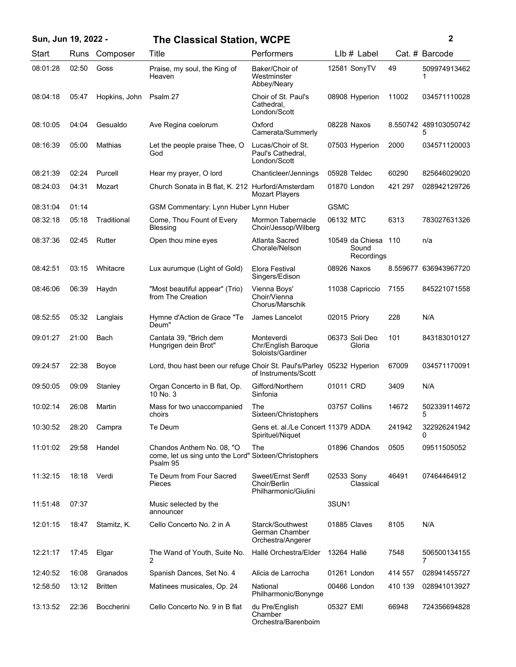| Sun, Jun 19, 2022 - |  |  |  |  |  |
|---------------------|--|--|--|--|--|
|---------------------|--|--|--|--|--|

## **Sun, Jun 19, 2022 - 2 The Classical Station, WCPE**

| Start    | Runs  | Composer          | Title                                                                                          | Performers                                                |                   | $Llb#$ Label                           |         | Cat. # Barcode             |
|----------|-------|-------------------|------------------------------------------------------------------------------------------------|-----------------------------------------------------------|-------------------|----------------------------------------|---------|----------------------------|
| 08:01:28 | 02:50 | Goss              | Praise, my soul, the King of<br>Heaven                                                         | Baker/Choir of<br>Westminster<br>Abbey/Neary              |                   | 12581 SonyTV                           | 49      | 509974913462<br>1          |
| 08:04:18 | 05:47 | Hopkins, John     | Psalm 27                                                                                       | Choir of St. Paul's<br>Cathedral,<br>London/Scott         |                   | 08908 Hyperion                         | 11002   | 034571110028               |
| 08:10:05 | 04:04 | Gesualdo          | Ave Regina coelorum                                                                            | Oxford<br>Camerata/Summerly                               | 08228 Naxos       |                                        |         | 8.550742 489103050742<br>5 |
| 08:16:39 | 05:00 | Mathias           | Let the people praise Thee, O<br>God                                                           | Lucas/Choir of St.<br>Paul's Cathedral,<br>London/Scott   |                   | 07503 Hyperion                         | 2000    | 034571120003               |
| 08:21:39 | 02:24 | Purcell           | Hear my prayer, O lord                                                                         | Chanticleer/Jennings                                      | 05928 Teldec      |                                        | 60290   | 825646029020               |
| 08:24:03 | 04:31 | Mozart            | Church Sonata in B flat, K. 212 Hurford/Amsterdam                                              | <b>Mozart Players</b>                                     |                   | 01870 London                           | 421 297 | 028942129726               |
| 08:31:04 | 01:14 |                   | GSM Commentary: Lynn Huber Lynn Huber                                                          |                                                           | <b>GSMC</b>       |                                        |         |                            |
| 08:32:18 | 05:18 | Traditional       | Come, Thou Fount of Every<br>Blessing                                                          | Mormon Tabernacle<br>Choir/Jessop/Wilberg                 | 06132 MTC         |                                        | 6313    | 783027631326               |
| 08:37:36 | 02:45 | Rutter            | Open thou mine eyes                                                                            | Atlanta Sacred<br>Chorale/Nelson                          |                   | 10549 da Chiesa<br>Sound<br>Recordings | 110     | n/a                        |
| 08:42:51 | 03:15 | Whitacre          | Lux aurumque (Light of Gold)                                                                   | Elora Festival<br>Singers/Edison                          | 08926 Naxos       |                                        |         | 8.559677 636943967720      |
| 08:46:06 | 06:39 | Haydn             | "Most beautiful appear" (Trio)<br>from The Creation                                            | Vienna Boys'<br>Choir/Vienna<br>Chorus/Marschik           |                   | 11038 Capriccio                        | 7155    | 845221071558               |
| 08:52:55 | 05:32 | Langlais          | Hymne d'Action de Grace "Te<br>Deum"                                                           | James Lancelot                                            | 02015 Priory      |                                        | 228     | N/A                        |
| 09:01:27 | 21:00 | Bach              | Cantata 39, "Brich dem<br>Hungrigen dein Brot"                                                 | Monteverdi<br>Chr/English Baroque<br>Soloists/Gardiner    |                   | 06373 Soli Deo<br>Gloria               | 101     | 843183010127               |
| 09:24:57 | 22:38 | Boyce             | Lord, thou hast been our refuge Choir St. Paul's/Parley 05232 Hyperion                         | of Instruments/Scott                                      |                   |                                        | 67009   | 034571170091               |
| 09:50:05 | 09:09 | Stanley           | Organ Concerto in B flat, Op.<br>10 No. 3                                                      | Gifford/Northern<br>Sinfonia                              | 01011 CRD         |                                        | 3409    | N/A                        |
| 10:02:14 | 26:08 | Martin            | Mass for two unaccompanied<br>choirs                                                           | The<br>Sixteen/Christophers                               | 03757 Collins     |                                        | 14672   | 502339114672<br>5          |
| 10:30:52 | 28:20 | Campra            | Te Deum                                                                                        | Gens et. al./Le Concert 11379 ADDA<br>Spirituel/Niquet    |                   |                                        | 241942  | 322926241942<br>0          |
| 11:01:02 | 29:58 | Handel            | Chandos Anthem No. 08, "O<br>come, let us sing unto the Lord" Sixteen/Christophers<br>Psalm 95 | The                                                       |                   | 01896 Chandos                          | 0505    | 09511505052                |
| 11:32:15 | 18:18 | Verdi             | Te Deum from Four Sacred<br>Pieces                                                             | Sweet/Ernst Senff<br>Choir/Berlin<br>Philharmonic/Giulini | 02533 Sony        | Classical                              | 46491   | 07464464912                |
| 11:51:48 | 07:37 |                   | Music selected by the<br>announcer                                                             |                                                           | 3SUN <sub>1</sub> |                                        |         |                            |
| 12:01:15 | 18:47 | Stamitz, K.       | Cello Concerto No. 2 in A                                                                      | Starck/Southwest<br>German Chamber<br>Orchestra/Angerer   |                   | 01885 Claves                           | 8105    | N/A                        |
| 12:21:17 | 17:45 | Elgar             | The Wand of Youth, Suite No.<br>2                                                              | Hallé Orchestra/Elder                                     | 13264 Hallé       |                                        | 7548    | 506500134155<br>7          |
| 12:40:52 | 16:08 | Granados          | Spanish Dances, Set No. 4                                                                      | Alicia de Larrocha                                        |                   | 01261 London                           | 414 557 | 028941455727               |
| 12:58:50 | 13:12 | <b>Britten</b>    | Matinees musicales, Op. 24                                                                     | National<br>Philharmonic/Bonynge                          |                   | 00466 London                           | 410 139 | 028941013927               |
| 13:13:52 | 22:36 | <b>Boccherini</b> | Cello Concerto No. 9 in B flat                                                                 | du Pre/English<br>Chamber<br>Orchestra/Barenboim          | 05327 EMI         |                                        | 66948   | 724356694828               |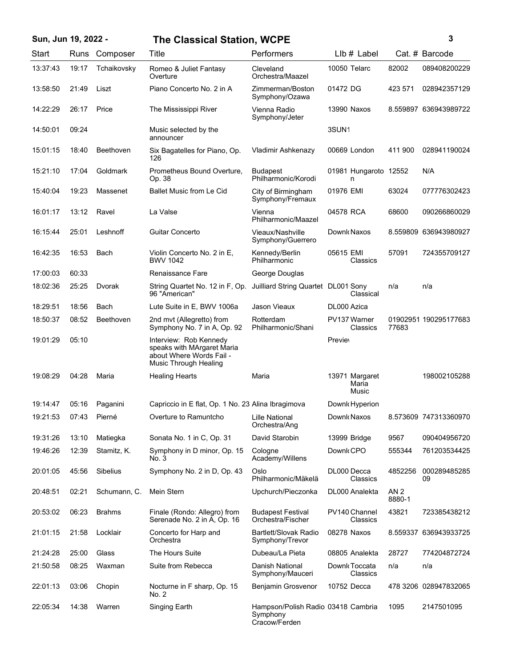## **Sun, Jun 19, 2022 - 3 The Classical Station, WCPE**

| ٦ |
|---|
|   |
|   |
| I |

| Start    | Runs  | Composer         | Title                                                                                                     | Performers                                                      | $L$ lb $#$ Label                 |                           | Cat. # Barcode        |
|----------|-------|------------------|-----------------------------------------------------------------------------------------------------------|-----------------------------------------------------------------|----------------------------------|---------------------------|-----------------------|
| 13:37:43 | 19:17 | Tchaikovsky      | Romeo & Juliet Fantasy<br>Overture                                                                        | Cleveland<br>Orchestra/Maazel                                   | 10050 Telarc                     | 82002                     | 089408200229          |
| 13:58:50 | 21:49 | Liszt            | Piano Concerto No. 2 in A                                                                                 | Zimmerman/Boston<br>Symphony/Ozawa                              | 01472 DG                         | 423 571                   | 028942357129          |
| 14:22:29 | 26:17 | Price            | The Mississippi River                                                                                     | Vienna Radio<br>Symphony/Jeter                                  | 13990 Naxos                      |                           | 8.559897 636943989722 |
| 14:50:01 | 09:24 |                  | Music selected by the<br>announcer                                                                        |                                                                 | 3SUN <sub>1</sub>                |                           |                       |
| 15:01:15 | 18:40 | <b>Beethoven</b> | Six Bagatelles for Piano, Op.<br>126                                                                      | Vladimir Ashkenazy                                              | 00669 London                     | 411 900                   | 028941190024          |
| 15:21:10 | 17:04 | Goldmark         | Prometheus Bound Overture,<br>Op. 38                                                                      | <b>Budapest</b><br>Philharmonic/Korodi                          | 01981 Hungaroto 12552<br>n       |                           | N/A                   |
| 15:40:04 | 19:23 | Massenet         | <b>Ballet Music from Le Cid</b>                                                                           | City of Birmingham<br>Symphony/Fremaux                          | 01976 EMI                        | 63024                     | 077776302423          |
| 16:01:17 | 13:12 | Ravel            | La Valse                                                                                                  | Vienna<br>Philharmonic/Maazel                                   | 04578 RCA                        | 68600                     | 090266860029          |
| 16:15:44 | 25:01 | Leshnoff         | <b>Guitar Concerto</b>                                                                                    | Vieaux/Nashville<br>Symphony/Guerrero                           | Downk Naxos                      |                           | 8.559809 636943980927 |
| 16:42:35 | 16:53 | Bach             | Violin Concerto No. 2 in E.<br><b>BWV 1042</b>                                                            | Kennedy/Berlin<br>Philharmonic                                  | 05615 EMI<br>Classics            | 57091                     | 724355709127          |
| 17:00:03 | 60:33 |                  | Renaissance Fare                                                                                          | George Douglas                                                  |                                  |                           |                       |
| 18:02:36 | 25:25 | Dvorak           | String Quartet No. 12 in F, Op.<br>96 "American"                                                          | Juilliard String Quartet DL001 Sony                             | Classical                        | n/a                       | n/a                   |
| 18:29:51 | 18:56 | Bach             | Lute Suite in E, BWV 1006a                                                                                | Jason Vieaux                                                    | DL000 Azica                      |                           |                       |
| 18:50:37 | 08:52 | <b>Beethoven</b> | 2nd mvt (Allegretto) from<br>Symphony No. 7 in A, Op. 92                                                  | Rotterdam<br>Philharmonic/Shani                                 | PV137 Warner<br>Classics         | 77683                     | 01902951 190295177683 |
| 19:01:29 | 05:10 |                  | Interview: Rob Kennedy<br>speaks with MArgaret Maria<br>about Where Words Fail -<br>Music Through Healing |                                                                 | <b>Previet</b>                   |                           |                       |
| 19:08:29 | 04:28 | Maria            | <b>Healing Hearts</b>                                                                                     | Maria                                                           | 13971 Margaret<br>Maria<br>Music |                           | 198002105288          |
| 19:14:47 | 05:16 | Paganini         | Capriccio in E flat, Op. 1 No. 23 Alina Ibragimova                                                        |                                                                 | Downk Hyperion                   |                           |                       |
| 19:21:53 | 07:43 | Pierné           | Overture to Ramuntcho                                                                                     | Lille National<br>Orchestra/Ang                                 | Downk Naxos                      |                           | 8.573609 747313360970 |
| 19:31:26 | 13:10 | Matiegka         | Sonata No. 1 in C, Op. 31                                                                                 | David Starobin                                                  | 13999 Bridge                     | 9567                      | 090404956720          |
| 19:46:26 | 12:39 | Stamitz, K.      | Symphony in D minor, Op. 15<br>No. 3                                                                      | Cologne<br>Academy/Willens                                      | Downk CPO                        | 555344                    | 761203534425          |
| 20:01:05 | 45:56 | Sibelius         | Symphony No. 2 in D, Op. 43                                                                               | Oslo<br>Philharmonic/Mäkelä                                     | DL000 Decca<br>Classics          | 4852256                   | 000289485285<br>09    |
| 20:48:51 | 02:21 | Schumann, C.     | Mein Stern                                                                                                | Upchurch/Pieczonka                                              | DL000 Analekta                   | AN <sub>2</sub><br>8880-1 |                       |
| 20:53:02 | 06:23 | <b>Brahms</b>    | Finale (Rondo: Allegro) from<br>Serenade No. 2 in A, Op. 16                                               | <b>Budapest Festival</b><br>Orchestra/Fischer                   | PV140 Channel<br>Classics        | 43821                     | 723385438212          |
| 21:01:15 | 21:58 | Locklair         | Concerto for Harp and<br>Orchestra                                                                        | <b>Bartlett/Slovak Radio</b><br>Symphony/Trevor                 | 08278 Naxos                      |                           | 8.559337 636943933725 |
| 21:24:28 | 25:00 | Glass            | The Hours Suite                                                                                           | Dubeau/La Pieta                                                 | 08805 Analekta                   | 28727                     | 774204872724          |
| 21:50:58 | 08:25 | Waxman           | Suite from Rebecca                                                                                        | Danish National<br>Symphony/Mauceri                             | Downk Toccata<br>Classics        | n/a                       | n/a                   |
| 22:01:13 | 03:06 | Chopin           | Nocturne in F sharp, Op. 15<br>No. 2                                                                      | Benjamin Grosvenor                                              | 10752 Decca                      |                           | 478 3206 028947832065 |
| 22:05:34 | 14:38 | Warren           | Singing Earth                                                                                             | Hampson/Polish Radio 03418 Cambria<br>Symphony<br>Cracow/Ferden |                                  | 1095                      | 2147501095            |